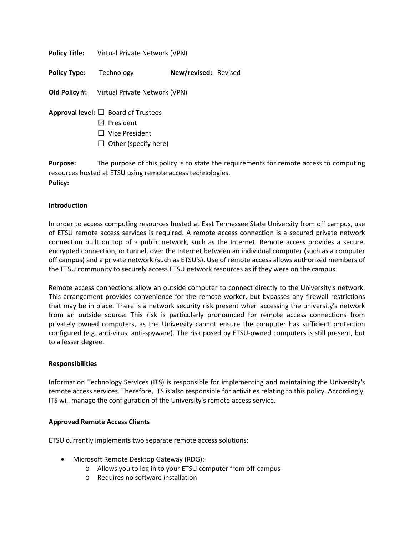**Policy Title:** Virtual Private Network (VPN)

**Policy Type:** Technology **New/revised:** Revised

**Old Policy #:** Virtual Private Network (VPN)

- **Approval level:** ☐ Board of Trustees
	- ☒ President
	- ☐ Vice President
	- $\Box$  Other (specify here)

**Purpose:** The purpose of this policy is to state the requirements for remote access to computing resources hosted at ETSU using remote access technologies. **Policy:**

### **Introduction**

In order to access computing resources hosted at East Tennessee State University from off campus, use of ETSU remote access services is required. A remote access connection is a secured private network connection built on top of a public network, such as the Internet. Remote access provides a secure, encrypted connection, or tunnel, over the Internet between an individual computer (such as a computer off campus) and a private network (such as ETSU's). Use of remote access allows authorized members of the ETSU community to securely access ETSU network resources as if they were on the campus.

Remote access connections allow an outside computer to connect directly to the University's network. This arrangement provides convenience for the remote worker, but bypasses any firewall restrictions that may be in place. There is a network security risk present when accessing the university's network from an outside source. This risk is particularly pronounced for remote access connections from privately owned computers, as the University cannot ensure the computer has sufficient protection configured (e.g. anti-virus, anti-spyware). The risk posed by ETSU-owned computers is still present, but to a lesser degree.

#### **Responsibilities**

Information Technology Services (ITS) is responsible for implementing and maintaining the University's remote access services. Therefore, ITS is also responsible for activities relating to this policy. Accordingly, ITS will manage the configuration of the University's remote access service.

# **Approved Remote Access Clients**

ETSU currently implements two separate remote access solutions:

- Microsoft Remote Desktop Gateway (RDG):
	- o Allows you to log in to your ETSU computer from off-campus
	- o Requires no software installation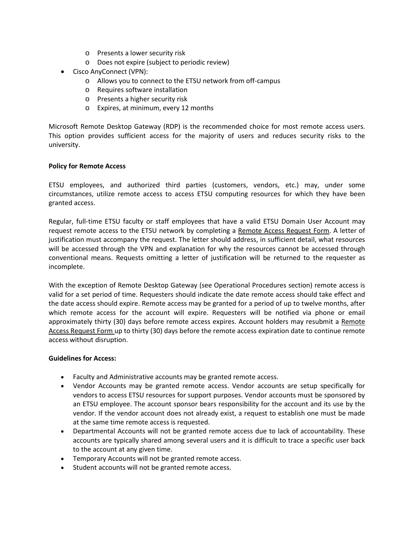- o Presents a lower security risk
- o Does not expire (subject to periodic review)
- Cisco AnyConnect (VPN):
	- o Allows you to connect to the ETSU network from off-campus
	- o Requires software installation
	- o Presents a higher security risk
	- o Expires, at minimum, every 12 months

Microsoft Remote Desktop Gateway (RDP) is the recommended choice for most remote access users. This option provides sufficient access for the majority of users and reduces security risks to the university.

### **Policy for Remote Access**

ETSU employees, and authorized third parties (customers, vendors, etc.) may, under some circumstances, utilize remote access to access ETSU computing resources for which they have been granted access.

Regular, full-time ETSU faculty or staff employees that have a valid ETSU Domain User Account may request remote access to the ETSU network by completing a [Remote Access Request Form.](http://www.etsu.edu/oit/documents/Remote_Access_Request_Form.pdf) A letter of justification must accompany the request. The letter should address, in sufficient detail, what resources will be accessed through the VPN and explanation for why the resources cannot be accessed through conventional means. Requests omitting a letter of justification will be returned to the requester as incomplete.

With the exception of Remote Desktop Gateway (see Operational Procedures section) remote access is valid for a set period of time. Requesters should indicate the date remote access should take effect and the date access should expire. Remote access may be granted for a period of up to twelve months, after which remote access for the account will expire. Requesters will be notified via phone or email approximately thirty (30) days before remote access expires. Account holders may resubmit a Remote [Access Request Form u](http://www.etsu.edu/oit/documents/Remote_Access_Request_Form.pdf)p to thirty (30) days before the remote access expiration date to continue remote access without disruption.

#### **Guidelines for Access:**

- Faculty and Administrative accounts may be granted remote access.
- Vendor Accounts may be granted remote access. Vendor accounts are setup specifically for vendors to access ETSU resources for support purposes. Vendor accounts must be sponsored by an ETSU employee. The account sponsor bears responsibility for the account and its use by the vendor. If the vendor account does not already exist, a request to establish one must be made at the same time remote access is requested.
- Departmental Accounts will not be granted remote access due to lack of accountability. These accounts are typically shared among several users and it is difficult to trace a specific user back to the account at any given time.
- Temporary Accounts will not be granted remote access.
- Student accounts will not be granted remote access.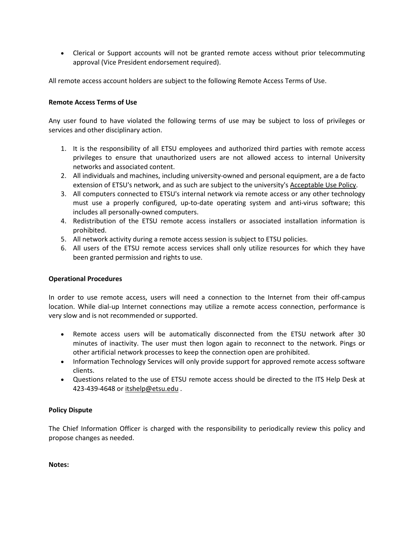• Clerical or Support accounts will not be granted remote access without prior telecommuting approval (Vice President endorsement required).

All remote access account holders are subject to the following Remote Access Terms of Use.

### **Remote Access Terms of Use**

Any user found to have violated the following terms of use may be subject to loss of privileges or services and other disciplinary action.

- 1. It is the responsibility of all ETSU employees and authorized third parties with remote access privileges to ensure that unauthorized users are not allowed access to internal University networks and associated content.
- 2. All individuals and machines, including university-owned and personal equipment, are a de facto extension of ETSU's network, and as such are subject to the university's [Acceptable Use Policy.](http://www.etsu.edu/its/policies/acceptable-use.aspx)
- 3. All computers connected to ETSU's internal network via remote access or any other technology must use a properly configured, up-to-date operating system and anti-virus software; this includes all personally-owned computers.
- 4. Redistribution of the ETSU remote access installers or associated installation information is prohibited.
- 5. All network activity during a remote access session is subject to ETSU policies.
- 6. All users of the ETSU remote access services shall only utilize resources for which they have been granted permission and rights to use.

# **Operational Procedures**

In order to use remote access, users will need a connection to the Internet from their off-campus location. While dial-up Internet connections may utilize a remote access connection, performance is very slow and is not recommended or supported.

- Remote access users will be automatically disconnected from the ETSU network after 30 minutes of inactivity. The user must then logon again to reconnect to the network. Pings or other artificial network processes to keep the connection open are prohibited.
- Information Technology Services will only provide support for approved remote access software clients.
- Questions related to the use of ETSU remote access should be directed to the ITS Help Desk at 423-439-4648 or [itshelp@etsu.edu](mailto:itshelp@etsu.edu?Subject=) .

# **Policy Dispute**

The Chief Information Officer is charged with the responsibility to periodically review this policy and propose changes as needed.

**Notes:**